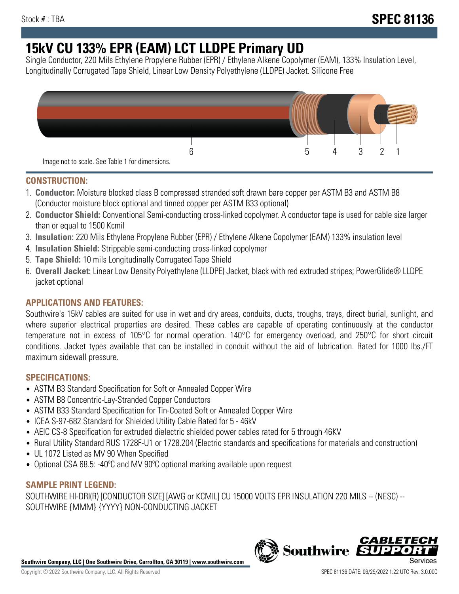# **15kV CU 133% EPR (EAM) LCT LLDPE Primary UD**

Single Conductor, 220 Mils Ethylene Propylene Rubber (EPR) / Ethylene Alkene Copolymer (EAM), 133% Insulation Level, Longitudinally Corrugated Tape Shield, Linear Low Density Polyethylene (LLDPE) Jacket. Silicone Free



### **CONSTRUCTION:**

- 1. **Conductor:** Moisture blocked class B compressed stranded soft drawn bare copper per ASTM B3 and ASTM B8 (Conductor moisture block optional and tinned copper per ASTM B33 optional)
- 2. **Conductor Shield:** Conventional Semi-conducting cross-linked copolymer. A conductor tape is used for cable size larger than or equal to 1500 Kcmil
- 3. **Insulation:** 220 Mils Ethylene Propylene Rubber (EPR) / Ethylene Alkene Copolymer (EAM) 133% insulation level
- 4. **Insulation Shield:** Strippable semi-conducting cross-linked copolymer
- 5. **Tape Shield:** 10 mils Longitudinally Corrugated Tape Shield
- 6. **Overall Jacket:** Linear Low Density Polyethylene (LLDPE) Jacket, black with red extruded stripes; PowerGlide® LLDPE jacket optional

# **APPLICATIONS AND FEATURES:**

Southwire's 15kV cables are suited for use in wet and dry areas, conduits, ducts, troughs, trays, direct burial, sunlight, and where superior electrical properties are desired. These cables are capable of operating continuously at the conductor temperature not in excess of 105°C for normal operation. 140°C for emergency overload, and 250°C for short circuit conditions. Jacket types available that can be installed in conduit without the aid of lubrication. Rated for 1000 lbs./FT maximum sidewall pressure.

# **SPECIFICATIONS:**

- ASTM B3 Standard Specification for Soft or Annealed Copper Wire
- ASTM B8 Concentric-Lay-Stranded Copper Conductors
- ASTM B33 Standard Specification for Tin-Coated Soft or Annealed Copper Wire
- ICEA S-97-682 Standard for Shielded Utility Cable Rated for 5 46kV
- AEIC CS-8 Specification for extruded dielectric shielded power cables rated for 5 through 46KV
- Rural Utility Standard RUS 1728F-U1 or 1728.204 (Electric standards and specifications for materials and construction)
- UL 1072 Listed as MV 90 When Specified
- Optional CSA 68.5: -40ºC and MV 90ºC optional marking available upon request

# **SAMPLE PRINT LEGEND:**

SOUTHWIRE HI-DRI(R) [CONDUCTOR SIZE] [AWG or KCMIL] CU 15000 VOLTS EPR INSULATION 220 MILS -- (NESC) -- SOUTHWIRE {MMM} {YYYY} NON-CONDUCTING JACKET

**Southwire Company, LLC | One Southwire Drive, Carrollton, GA 30119 | www.southwire.com**